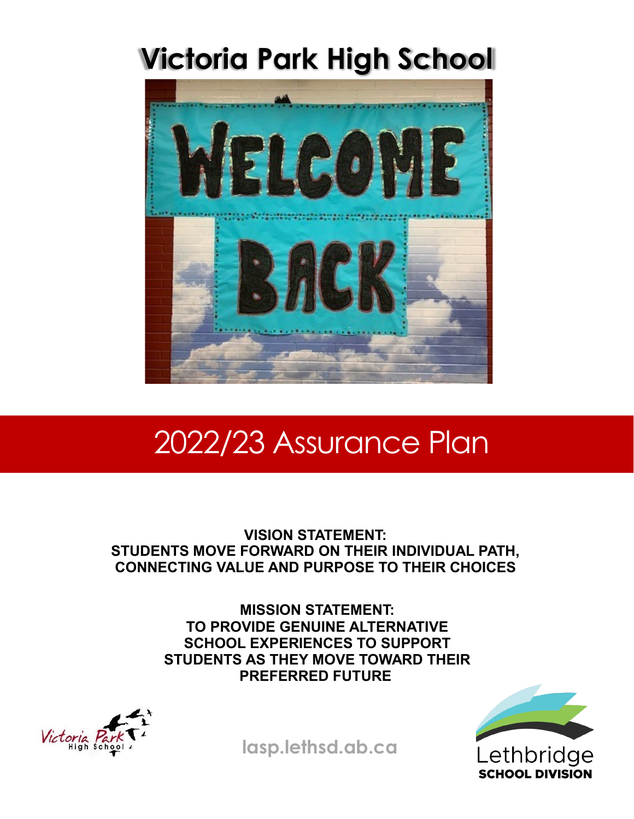# **Victoria Park High School**



# 2022/23 Assurance Plan

**VISION STATEMENT: STUDENTS MOVE FORWARD ON THEIR INDIVIDUAL PATH, CONNECTING VALUE AND PURPOSE TO THEIR CHOICES**

> **MISSION STATEMENT: TO PROVIDE GENUINE ALTERNATIVE SCHOOL EXPERIENCES TO SUPPORT STUDENTS AS THEY MOVE TOWARD THEIR PREFERRED FUTURE**





**lasp.lethsd.ab.ca**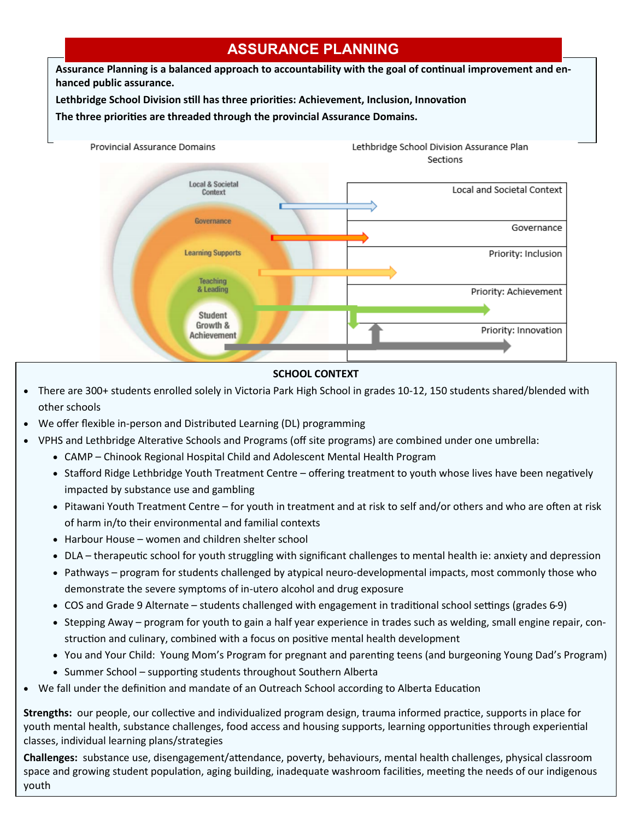# **ASSURANCE PLANNING**

**Assurance Planning is a balanced approach to accountability with the goal of continual improvement and enhanced public assurance.** 

**Lethbridge School Division still has three priorities: Achievement, Inclusion, Innovation**

**The three priorities are threaded through the provincial Assurance Domains.** 



# **SCHOOL CONTEXT**

- There are 300+ students enrolled solely in Victoria Park High School in grades 10-12, 150 students shared/blended with other schools
- We offer flexible in-person and Distributed Learning (DL) programming
- VPHS and Lethbridge Alterative Schools and Programs (off site programs) are combined under one umbrella:
	- CAMP Chinook Regional Hospital Child and Adolescent Mental Health Program
		- Stafford Ridge Lethbridge Youth Treatment Centre offering treatment to youth whose lives have been negatively impacted by substance use and gambling
		- Pitawani Youth Treatment Centre for youth in treatment and at risk to self and/or others and who are often at risk of harm in/to their environmental and familial contexts
	- Harbour House women and children shelter school
	- DLA therapeutic school for youth struggling with significant challenges to mental health ie: anxiety and depression
	- Pathways program for students challenged by atypical neuro-developmental impacts, most commonly those who demonstrate the severe symptoms of in-utero alcohol and drug exposure
	- COS and Grade 9 Alternate students challenged with engagement in traditional school settings (grades 6-9)
	- Stepping Away program for youth to gain a half year experience in trades such as welding, small engine repair, construction and culinary, combined with a focus on positive mental health development
	- You and Your Child: Young Mom's Program for pregnant and parenting teens (and burgeoning Young Dad's Program)
	- Summer School supporting students throughout Southern Alberta
- We fall under the definition and mandate of an Outreach School according to Alberta Education

**Strengths:** our people, our collective and individualized program design, trauma informed practice, supports in place for youth mental health, substance challenges, food access and housing supports, learning opportunities through experiential classes, individual learning plans/strategies

**Challenges:** substance use, disengagement/attendance, poverty, behaviours, mental health challenges, physical classroom space and growing student population, aging building, inadequate washroom facilities, meeting the needs of our indigenous youth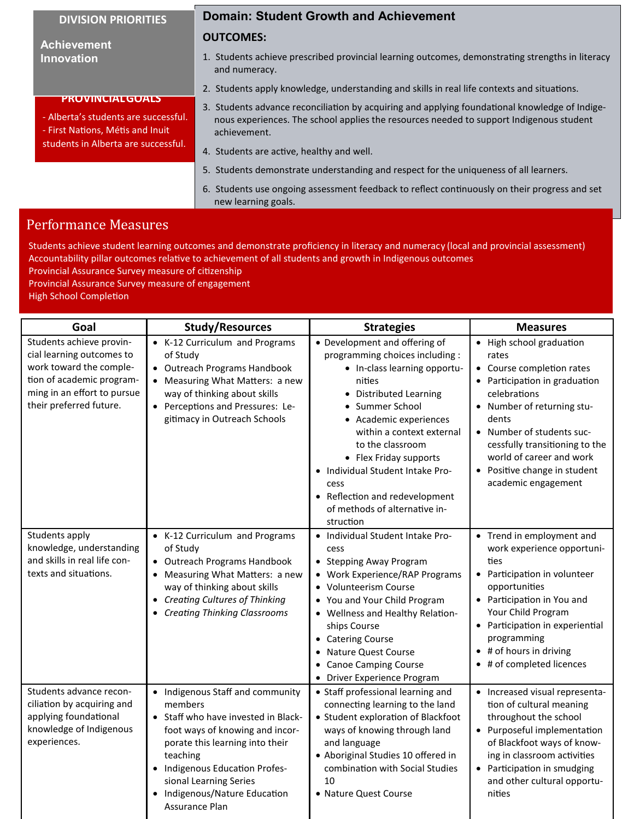**PROVINCIALGOALS** - Alberta's students are successful. - First Nations, Métis and Inuit students in Alberta are successful.

**Achievement Innovation**

### **Domain: Student Growth and Achievement**

#### **OUTCOMES:**

- 1. Students achieve prescribed provincial learning outcomes, demonstrating strengths in literacy and numeracy.
- 2. Students apply knowledge, understanding and skills in real life contexts and situations.
- 3. Students advance reconciliation by acquiring and applying foundational knowledge of Indigenous experiences. The school applies the resources needed to support Indigenous student achievement.
- 4. Students are active, healthy and well.
- 5. Students demonstrate understanding and respect for the uniqueness of all learners.
- 6. Students use ongoing assessment feedback to reflect continuously on their progress and set new learning goals.

# Performance Measures

Students achieve student learning outcomes and demonstrate proficiency in literacy and numeracy (local and provincial assessment) Accountability pillar outcomes relative to achievement of all students and growth in Indigenous outcomes

Provincial Assurance Survey measure of citizenship

Provincial Assurance Survey measure of engagement

High School Completion

| Goal                                                                                                                                                                    | <b>Study/Resources</b>                                                                                                                                                                                                                                                          | <b>Strategies</b>                                                                                                                                                                                                                                                                                                                                                                      | <b>Measures</b>                                                                                                                                                                                                                                                                                          |
|-------------------------------------------------------------------------------------------------------------------------------------------------------------------------|---------------------------------------------------------------------------------------------------------------------------------------------------------------------------------------------------------------------------------------------------------------------------------|----------------------------------------------------------------------------------------------------------------------------------------------------------------------------------------------------------------------------------------------------------------------------------------------------------------------------------------------------------------------------------------|----------------------------------------------------------------------------------------------------------------------------------------------------------------------------------------------------------------------------------------------------------------------------------------------------------|
| Students achieve provin-<br>cial learning outcomes to<br>work toward the comple-<br>tion of academic program-<br>ming in an effort to pursue<br>their preferred future. | • K-12 Curriculum and Programs<br>of Study<br>• Outreach Programs Handbook<br>Measuring What Matters: a new<br>way of thinking about skills<br>• Perceptions and Pressures: Le-<br>gitimacy in Outreach Schools                                                                 | • Development and offering of<br>programming choices including :<br>• In-class learning opportu-<br>nities<br>• Distributed Learning<br>• Summer School<br>• Academic experiences<br>within a context external<br>to the classroom<br>• Flex Friday supports<br>Individual Student Intake Pro-<br>cess<br>• Reflection and redevelopment<br>of methods of alternative in-<br>struction | • High school graduation<br>rates<br>• Course completion rates<br>• Participation in graduation<br>celebrations<br>• Number of returning stu-<br>dents<br>• Number of students suc-<br>cessfully transitioning to the<br>world of career and work<br>• Positive change in student<br>academic engagement |
| Students apply<br>knowledge, understanding<br>and skills in real life con-<br>texts and situations.                                                                     | • K-12 Curriculum and Programs<br>of Study<br>• Outreach Programs Handbook<br>Measuring What Matters: a new<br>way of thinking about skills<br>• Creating Cultures of Thinking<br><b>Creating Thinking Classrooms</b>                                                           | • Individual Student Intake Pro-<br>cess<br>• Stepping Away Program<br>• Work Experience/RAP Programs<br>• Volunteerism Course<br>• You and Your Child Program<br>• Wellness and Healthy Relation-<br>ships Course<br>• Catering Course<br>Nature Quest Course<br><b>Canoe Camping Course</b><br>• Driver Experience Program                                                           | • Trend in employment and<br>work experience opportuni-<br>ties<br>• Participation in volunteer<br>opportunities<br>• Participation in You and<br>Your Child Program<br>• Participation in experiential<br>programming<br>• # of hours in driving<br># of completed licences                             |
| Students advance recon-<br>ciliation by acquiring and<br>applying foundational<br>knowledge of Indigenous<br>experiences.                                               | • Indigenous Staff and community<br>members<br>• Staff who have invested in Black-<br>foot ways of knowing and incor-<br>porate this learning into their<br>teaching<br>Indigenous Education Profes-<br>sional Learning Series<br>Indigenous/Nature Education<br>Assurance Plan | • Staff professional learning and<br>connecting learning to the land<br>• Student exploration of Blackfoot<br>ways of knowing through land<br>and language<br>• Aboriginal Studies 10 offered in<br>combination with Social Studies<br>10<br>• Nature Quest Course                                                                                                                     | • Increased visual representa-<br>tion of cultural meaning<br>throughout the school<br>• Purposeful implementation<br>of Blackfoot ways of know-<br>ing in classroom activities<br>• Participation in smudging<br>and other cultural opportu-<br>nities                                                  |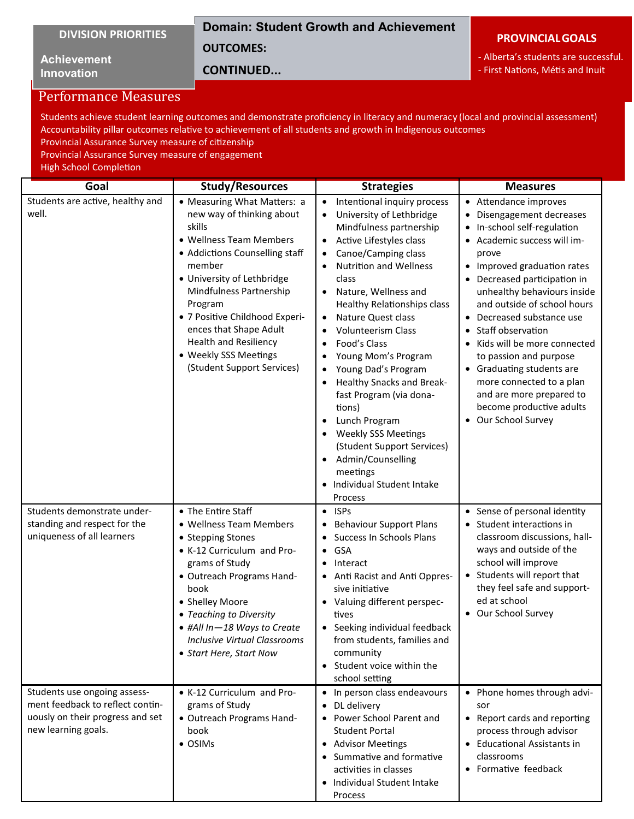# **Domain: Student Growth and Achievement**

**OUTCOMES:** 

**Achievement Innovation**

# **CONTINUED...**

#### **PROVINCIALGOALS**

- Alberta's students are successful.

- First Nations, Métis and Inuit

# Performance Measures

Students achieve student learning outcomes and demonstrate proficiency in literacy and numeracy (local and provincial assessment) Accountability pillar outcomes relative to achievement of all students and growth in Indigenous outcomes Provincial Assurance Survey measure of citizenship

Provincial Assurance Survey measure of engagement

High School Completion

| Goal                                                                                                                      | <b>Study/Resources</b>                                                                                                                                                                                                                                                                                                                                           | <b>Strategies</b>                                                                                                                                                                                                                                                                                                                                                                                                                                                                                                                                                                                                                                | <b>Measures</b>                                                                                                                                                                                                                                                                                                                                                                                                                                                                             |
|---------------------------------------------------------------------------------------------------------------------------|------------------------------------------------------------------------------------------------------------------------------------------------------------------------------------------------------------------------------------------------------------------------------------------------------------------------------------------------------------------|--------------------------------------------------------------------------------------------------------------------------------------------------------------------------------------------------------------------------------------------------------------------------------------------------------------------------------------------------------------------------------------------------------------------------------------------------------------------------------------------------------------------------------------------------------------------------------------------------------------------------------------------------|---------------------------------------------------------------------------------------------------------------------------------------------------------------------------------------------------------------------------------------------------------------------------------------------------------------------------------------------------------------------------------------------------------------------------------------------------------------------------------------------|
| Students are active, healthy and<br>well.                                                                                 | • Measuring What Matters: a<br>new way of thinking about<br>skills<br>• Wellness Team Members<br>• Addictions Counselling staff<br>member<br>• University of Lethbridge<br>Mindfulness Partnership<br>Program<br>· 7 Positive Childhood Experi-<br>ences that Shape Adult<br><b>Health and Resiliency</b><br>• Weekly SSS Meetings<br>(Student Support Services) | Intentional inquiry process<br>$\bullet$<br>University of Lethbridge<br>$\bullet$<br>Mindfulness partnership<br>Active Lifestyles class<br>$\bullet$<br>Canoe/Camping class<br>٠<br><b>Nutrition and Wellness</b><br>class<br>Nature, Wellness and<br>Healthy Relationships class<br>Nature Quest class<br><b>Volunteerism Class</b><br>Food's Class<br>Young Mom's Program<br>Young Dad's Program<br><b>Healthy Snacks and Break-</b><br>fast Program (via dona-<br>tions)<br>Lunch Program<br>$\bullet$<br><b>Weekly SSS Meetings</b><br>(Student Support Services)<br>Admin/Counselling<br>meetings<br>• Individual Student Intake<br>Process | • Attendance improves<br>Disengagement decreases<br>In-school self-regulation<br>Academic success will im-<br>prove<br>Improved graduation rates<br>Decreased participation in<br>unhealthy behaviours inside<br>and outside of school hours<br>Decreased substance use<br>Staff observation<br>Kids will be more connected<br>to passion and purpose<br>• Graduating students are<br>more connected to a plan<br>and are more prepared to<br>become productive adults<br>Our School Survey |
| Students demonstrate under-<br>standing and respect for the<br>uniqueness of all learners<br>Students use ongoing assess- | • The Entire Staff<br>• Wellness Team Members<br>• Stepping Stones<br>• K-12 Curriculum and Pro-<br>grams of Study<br>· Outreach Programs Hand-<br>book<br>• Shelley Moore<br>• Teaching to Diversity<br>· #All In-18 Ways to Create<br><b>Inclusive Virtual Classrooms</b><br>• Start Here, Start Now<br>• K-12 Curriculum and Pro-                             | $\bullet$ ISPs<br>• Behaviour Support Plans<br>• Success In Schools Plans<br>GSA<br>$\bullet$<br>Interact<br>• Anti Racist and Anti Oppres-<br>sive initiative<br>• Valuing different perspec-<br>tives<br>• Seeking individual feedback<br>from students, families and<br>community<br>• Student voice within the<br>school setting<br>• In person class endeavours                                                                                                                                                                                                                                                                             | • Sense of personal identity<br>Student interactions in<br>٠<br>classroom discussions, hall-<br>ways and outside of the<br>school will improve<br>Students will report that<br>$\bullet$<br>they feel safe and support-<br>ed at school<br>• Our School Survey<br>• Phone homes through advi-                                                                                                                                                                                               |
| ment feedback to reflect contin-<br>uously on their progress and set<br>new learning goals.                               | grams of Study<br>· Outreach Programs Hand-<br>book<br>• OSIMs                                                                                                                                                                                                                                                                                                   | • DL delivery<br>• Power School Parent and<br><b>Student Portal</b><br>• Advisor Meetings<br>• Summative and formative<br>activities in classes<br>• Individual Student Intake<br>Process                                                                                                                                                                                                                                                                                                                                                                                                                                                        | sor<br>• Report cards and reporting<br>process through advisor<br>• Educational Assistants in<br>classrooms<br>• Formative feedback                                                                                                                                                                                                                                                                                                                                                         |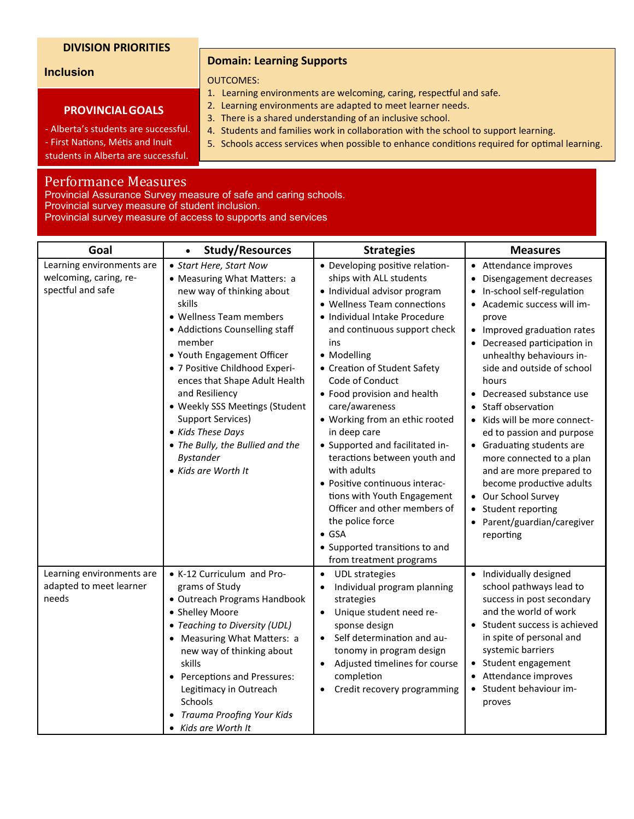#### **Inclusion**

#### **PROVINCIALGOALS**

- Alberta's students are successful.

**Domain: Learning Supports**

#### OUTCOMES:

- 1. Learning environments are welcoming, caring, respectful and safe.
- 2. Learning environments are adapted to meet learner needs.
- 3. There is a shared understanding of an inclusive school.
- 4. Students and families work in collaboration with the school to support learning.
- 5. Schools access services when possible to enhance conditions required for optimal learning.

students in Alberta are successful.

# Performance Measures

Provincial Assurance Survey measure of safe and caring schools. Provincial survey measure of student inclusion.

Provincial survey measure of access to supports and services

| Goal                                                                     | <b>Study/Resources</b><br>$\bullet$                                                                                                                                                                                                                                                                                                                                                                                                                | <b>Strategies</b>                                                                                                                                                                                                                                                                                                                                                                                                                                                                                                                                                                                                                                           | <b>Measures</b>                                                                                                                                                                                                                                                                                                                                                                                                                                                                                                                                                                    |
|--------------------------------------------------------------------------|----------------------------------------------------------------------------------------------------------------------------------------------------------------------------------------------------------------------------------------------------------------------------------------------------------------------------------------------------------------------------------------------------------------------------------------------------|-------------------------------------------------------------------------------------------------------------------------------------------------------------------------------------------------------------------------------------------------------------------------------------------------------------------------------------------------------------------------------------------------------------------------------------------------------------------------------------------------------------------------------------------------------------------------------------------------------------------------------------------------------------|------------------------------------------------------------------------------------------------------------------------------------------------------------------------------------------------------------------------------------------------------------------------------------------------------------------------------------------------------------------------------------------------------------------------------------------------------------------------------------------------------------------------------------------------------------------------------------|
| Learning environments are<br>welcoming, caring, re-<br>spectful and safe | • Start Here, Start Now<br>• Measuring What Matters: a<br>new way of thinking about<br>skills<br>• Wellness Team members<br>• Addictions Counselling staff<br>member<br>• Youth Engagement Officer<br>• 7 Positive Childhood Experi-<br>ences that Shape Adult Health<br>and Resiliency<br>• Weekly SSS Meetings (Student<br>Support Services)<br>• Kids These Days<br>• The Bully, the Bullied and the<br><b>Bystander</b><br>• Kids are Worth It | · Developing positive relation-<br>ships with ALL students<br>· Individual advisor program<br>• Wellness Team connections<br>· Individual Intake Procedure<br>and continuous support check<br>ins<br>• Modelling<br>• Creation of Student Safety<br>Code of Conduct<br>• Food provision and health<br>care/awareness<br>• Working from an ethic rooted<br>in deep care<br>• Supported and facilitated in-<br>teractions between youth and<br>with adults<br>· Positive continuous interac-<br>tions with Youth Engagement<br>Officer and other members of<br>the police force<br>$\bullet$ GSA<br>• Supported transitions to and<br>from treatment programs | • Attendance improves<br>Disengagement decreases<br>In-school self-regulation<br>$\bullet$<br>Academic success will im-<br>prove<br>• Improved graduation rates<br>• Decreased participation in<br>unhealthy behaviours in-<br>side and outside of school<br>hours<br>Decreased substance use<br>Staff observation<br>Kids will be more connect-<br>ed to passion and purpose<br>• Graduating students are<br>more connected to a plan<br>and are more prepared to<br>become productive adults<br>Our School Survey<br>Student reporting<br>Parent/guardian/caregiver<br>reporting |
| Learning environments are<br>adapted to meet learner<br>needs            | • K-12 Curriculum and Pro-<br>grams of Study<br>• Outreach Programs Handbook<br>• Shelley Moore<br>• Teaching to Diversity (UDL)<br>• Measuring What Matters: a<br>new way of thinking about<br>skills<br>• Perceptions and Pressures:<br>Legitimacy in Outreach<br>Schools<br>Trauma Proofing Your Kids<br>• Kids are Worth It                                                                                                                    | <b>UDL</b> strategies<br>$\bullet$<br>Individual program planning<br>strategies<br>Unique student need re-<br>$\bullet$<br>sponse design<br>Self determination and au-<br>tonomy in program design<br>Adjusted timelines for course<br>completion<br>Credit recovery programming                                                                                                                                                                                                                                                                                                                                                                            | Individually designed<br>$\bullet$<br>school pathways lead to<br>success in post secondary<br>and the world of work<br>• Student success is achieved<br>in spite of personal and<br>systemic barriers<br>• Student engagement<br>• Attendance improves<br>Student behaviour im-<br>proves                                                                                                                                                                                                                                                                                          |

- First Nations, Métis and Inuit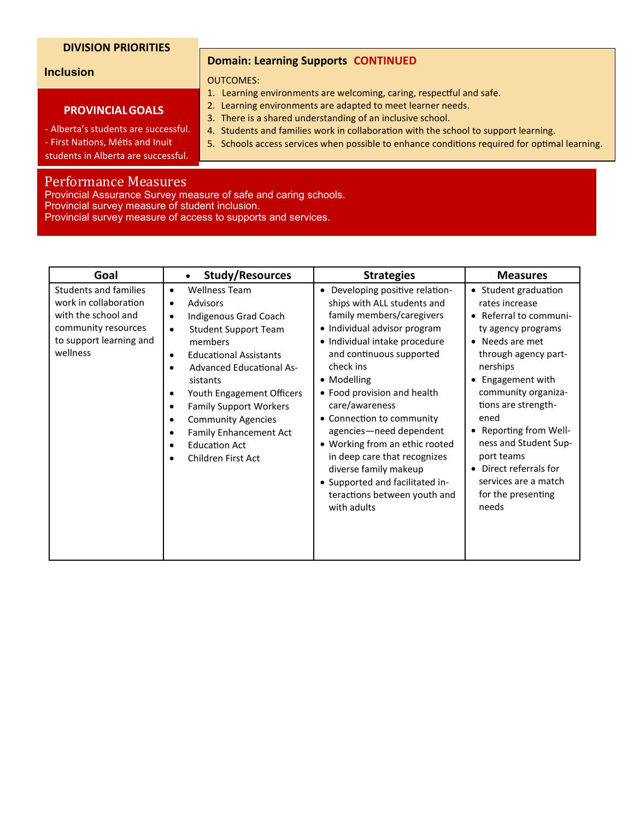#### **Inclusion**

#### **PROVINCIALGOALS**

- Alberta's students are successful. - First Nations, Métis and Inuit

**Domain: Learning Supports CONTINUED**

#### OUTCOMES:

- 1. Learning environments are welcoming, caring, respectful and safe.
- 2. Learning environments are adapted to meet learner needs.
- 3. There is a shared understanding of an inclusive school.
- 4. Students and families work in collaboration with the school to support learning.
- 5. Schools access services when possible to enhance conditions required for optimal learning.

students in Alberta are successful.

# Performance Measures

Provincial Assurance Survey measure of safe and caring schools. Provincial survey measure of student inclusion.

| Provincial survey measure of access to supports and services. |  |  |  |
|---------------------------------------------------------------|--|--|--|
|---------------------------------------------------------------|--|--|--|

| Goal                                                                                                                                       | <b>Study/Resources</b><br>$\bullet$                                                                                                                                                                                                                                                                                                                                                                                                                                                                                      | <b>Strategies</b>                                                                                                                                                                                                                                                                                                                                                                                                                                                                                                     | <b>Measures</b>                                                                                                                                                                                                                                                                                                                                                               |
|--------------------------------------------------------------------------------------------------------------------------------------------|--------------------------------------------------------------------------------------------------------------------------------------------------------------------------------------------------------------------------------------------------------------------------------------------------------------------------------------------------------------------------------------------------------------------------------------------------------------------------------------------------------------------------|-----------------------------------------------------------------------------------------------------------------------------------------------------------------------------------------------------------------------------------------------------------------------------------------------------------------------------------------------------------------------------------------------------------------------------------------------------------------------------------------------------------------------|-------------------------------------------------------------------------------------------------------------------------------------------------------------------------------------------------------------------------------------------------------------------------------------------------------------------------------------------------------------------------------|
| <b>Students and families</b><br>work in collaboration<br>with the school and<br>community resources<br>to support learning and<br>wellness | <b>Wellness Team</b><br>$\bullet$<br><b>Advisors</b><br>$\bullet$<br>Indigenous Grad Coach<br>$\bullet$<br><b>Student Support Team</b><br>$\bullet$<br>members<br><b>Educational Assistants</b><br>$\bullet$<br><b>Advanced Educational As-</b><br>$\bullet$<br>sistants<br>Youth Engagement Officers<br>$\bullet$<br><b>Family Support Workers</b><br>$\bullet$<br><b>Community Agencies</b><br>$\bullet$<br><b>Family Enhancement Act</b><br>$\bullet$<br><b>Education Act</b><br>$\bullet$<br>Children First Act<br>٠ | Developing positive relation-<br>$\bullet$<br>ships with ALL students and<br>family members/caregivers<br>• Individual advisor program<br>· Individual intake procedure<br>and continuous supported<br>check ins<br>• Modelling<br>• Food provision and health<br>care/awareness<br>• Connection to community<br>agencies-need dependent<br>• Working from an ethic rooted<br>in deep care that recognizes<br>diverse family makeup<br>• Supported and facilitated in-<br>teractions between youth and<br>with adults | • Student graduation<br>rates increase<br>Referral to communi-<br>$\bullet$<br>ty agency programs<br>Needs are met<br>through agency part-<br>nerships<br>Engagement with<br>community organiza-<br>tions are strength-<br>ened<br>Reporting from Well-<br>ness and Student Sup-<br>port teams<br>Direct referrals for<br>services are a match<br>for the presenting<br>needs |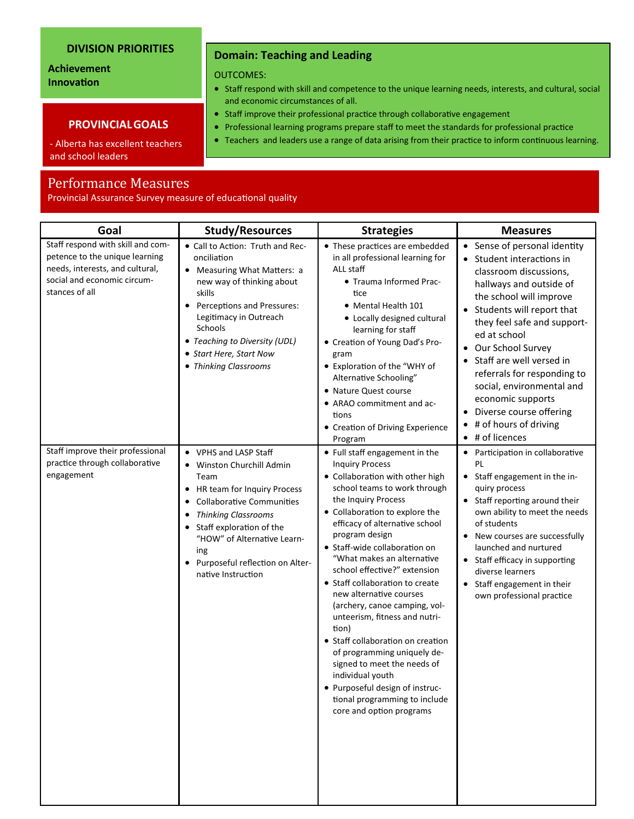## **Achievement Innovation**

#### **PROVINCIALGOALS**

- Alberta has excellent teachers and school leaders

# Performance Measures

Provincial Assurance Survey measure of educational quality

| Goal                                                                                                                                                    | <b>Study/Resources</b>                                                                                                                                                                                                                                                                                                      | <b>Strategies</b>                                                                                                                                                                                                                                                                                                                                                                                                                                                                                                                                                                                                                                                                                       | <b>Measures</b>                                                                                                                                                                                                                                                                                                                                                                                                                  |
|---------------------------------------------------------------------------------------------------------------------------------------------------------|-----------------------------------------------------------------------------------------------------------------------------------------------------------------------------------------------------------------------------------------------------------------------------------------------------------------------------|---------------------------------------------------------------------------------------------------------------------------------------------------------------------------------------------------------------------------------------------------------------------------------------------------------------------------------------------------------------------------------------------------------------------------------------------------------------------------------------------------------------------------------------------------------------------------------------------------------------------------------------------------------------------------------------------------------|----------------------------------------------------------------------------------------------------------------------------------------------------------------------------------------------------------------------------------------------------------------------------------------------------------------------------------------------------------------------------------------------------------------------------------|
| Staff respond with skill and com-<br>petence to the unique learning<br>needs, interests, and cultural,<br>social and economic circum-<br>stances of all | • Call to Action: Truth and Rec-<br>onciliation<br>Measuring What Matters: a<br>new way of thinking about<br>skills<br>Perceptions and Pressures:<br>Legitimacy in Outreach<br><b>Schools</b><br>• Teaching to Diversity (UDL)<br>• Start Here, Start Now<br>• Thinking Classrooms                                          | • These practices are embedded<br>in all professional learning for<br>ALL staff<br>• Trauma Informed Prac-<br>tice<br>• Mental Health 101<br>• Locally designed cultural<br>learning for staff<br>• Creation of Young Dad's Pro-<br>gram<br>• Exploration of the "WHY of<br>Alternative Schooling"<br>• Nature Quest course<br>• ARAO commitment and ac-<br>tions<br>• Creation of Driving Experience<br>Program                                                                                                                                                                                                                                                                                        | • Sense of personal identity<br>• Student interactions in<br>classroom discussions,<br>hallways and outside of<br>the school will improve<br>• Students will report that<br>they feel safe and support-<br>ed at school<br>• Our School Survey<br>Staff are well versed in<br>referrals for responding to<br>social, environmental and<br>economic supports<br>Diverse course offering<br># of hours of driving<br># of licences |
| Staff improve their professional<br>practice through collaborative<br>engagement                                                                        | • VPHS and LASP Staff<br>Winston Churchill Admin<br>Team<br>HR team for Inquiry Process<br>$\bullet$<br><b>Collaborative Communities</b><br>$\bullet$<br><b>Thinking Classrooms</b><br>$\bullet$<br>Staff exploration of the<br>"HOW" of Alternative Learn-<br>ing<br>Purposeful reflection on Alter-<br>native Instruction | • Full staff engagement in the<br><b>Inquiry Process</b><br>• Collaboration with other high<br>school teams to work through<br>the Inquiry Process<br>• Collaboration to explore the<br>efficacy of alternative school<br>program design<br>• Staff-wide collaboration on<br>"What makes an alternative<br>school effective?" extension<br>• Staff collaboration to create<br>new alternative courses<br>(archery, canoe camping, vol-<br>unteerism, fitness and nutri-<br>tion)<br>• Staff collaboration on creation<br>of programming uniquely de-<br>signed to meet the needs of<br>individual youth<br>· Purposeful design of instruc-<br>tional programming to include<br>core and option programs | Participation in collaborative<br>$\bullet$<br>PL<br>Staff engagement in the in-<br>$\bullet$<br>quiry process<br>• Staff reporting around their<br>own ability to meet the needs<br>of students<br>New courses are successfully<br>$\bullet$<br>launched and nurtured<br>Staff efficacy in supporting<br>diverse learners<br>Staff engagement in their<br>own professional practice                                             |

# **Domain: Teaching and Leading**

OUTCOMES:

- Staff respond with skill and competence to the unique learning needs, interests, and cultural, social and economic circumstances of all.
- Staff improve their professional practice through collaborative engagement
- Professional learning programs prepare staff to meet the standards for professional practice
- Teachers and leaders use a range of data arising from their practice to inform continuous learning.